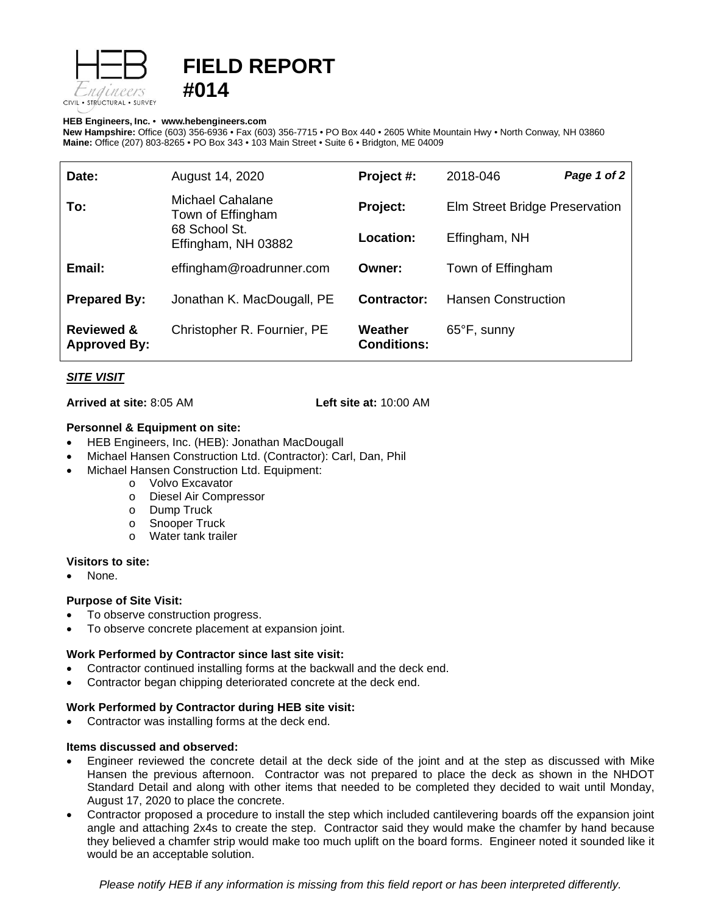

# **FIELD REPORT #014**

#### **HEB Engineers, Inc.** • **[www.hebengineer](http://www.hebengineers.com/)s.com**

**New Hampshire:** Office (603) 356-6936 • Fax (603) 356-7715 • PO Box 440 • 2605 White Mountain Hwy • North Conway, NH 03860 **Maine:** Office (207) 803-8265 • PO Box 343 • 103 Main Street • Suite 6 • Bridgton, ME 04009

| Date:                                        | August 14, 2020                                                               | Project #:                    | 2018-046                       | Page 1 of 2 |
|----------------------------------------------|-------------------------------------------------------------------------------|-------------------------------|--------------------------------|-------------|
| To:                                          | Michael Cahalane<br>Town of Effingham<br>68 School St.<br>Effingham, NH 03882 | Project:                      | Elm Street Bridge Preservation |             |
|                                              |                                                                               | Location:                     | Effingham, NH                  |             |
| Email:                                       | effingham@roadrunner.com                                                      | Owner:                        | Town of Effingham              |             |
| <b>Prepared By:</b>                          | Jonathan K. MacDougall, PE                                                    | Contractor:                   | <b>Hansen Construction</b>     |             |
| <b>Reviewed &amp;</b><br><b>Approved By:</b> | Christopher R. Fournier, PE                                                   | Weather<br><b>Conditions:</b> | $65^{\circ}$ F, sunny          |             |

## *SITE VISIT*

**Arrived at site:** 8:05 AM **Left site at:** 10:00 AM

## **Personnel & Equipment on site:**

- HEB Engineers, Inc. (HEB): Jonathan MacDougall
- Michael Hansen Construction Ltd. (Contractor): Carl, Dan, Phil
- Michael Hansen Construction Ltd. Equipment:
	- o Volvo Excavator
	- o Diesel Air Compressor
	- o Dump Truck<br>o Snooper True
	- o Snooper Truck<br>○ Water tank trail
	- Water tank trailer

#### **Visitors to site:**

None.

## **Purpose of Site Visit:**

- To observe construction progress.
- To observe concrete placement at expansion joint.

## **Work Performed by Contractor since last site visit:**

- Contractor continued installing forms at the backwall and the deck end.
- Contractor began chipping deteriorated concrete at the deck end.

## **Work Performed by Contractor during HEB site visit:**

Contractor was installing forms at the deck end.

## **Items discussed and observed:**

- Engineer reviewed the concrete detail at the deck side of the joint and at the step as discussed with Mike Hansen the previous afternoon. Contractor was not prepared to place the deck as shown in the NHDOT Standard Detail and along with other items that needed to be completed they decided to wait until Monday, August 17, 2020 to place the concrete.
- Contractor proposed a procedure to install the step which included cantilevering boards off the expansion joint angle and attaching 2x4s to create the step. Contractor said they would make the chamfer by hand because they believed a chamfer strip would make too much uplift on the board forms. Engineer noted it sounded like it would be an acceptable solution.

*Please notify HEB if any information is missing from this field report or has been interpreted differently.*